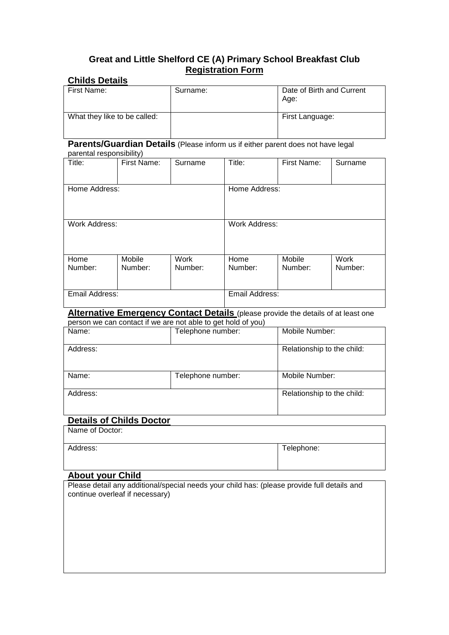# **Great and Little Shelford CE (A) Primary School Breakfast Club Registration Form**

# **Childs Details**

| First Name:                  | Surname: | Date of Birth and Current<br>Age: |
|------------------------------|----------|-----------------------------------|
| What they like to be called: |          | First Language:                   |

# **Parents/Guardian Details** (Please inform us if either parent does not have legal

#### parental responsibility)

| Title:         | First Name: | Surname              | Title:         | First Name: | Surname |
|----------------|-------------|----------------------|----------------|-------------|---------|
|                |             |                      |                |             |         |
| Home Address:  |             | Home Address:        |                |             |         |
|                |             |                      |                |             |         |
|                |             |                      |                |             |         |
| Work Address:  |             | <b>Work Address:</b> |                |             |         |
|                |             |                      |                |             |         |
|                |             |                      |                |             |         |
| Home           | Mobile      | Work                 | Home           | Mobile      | Work    |
| Number:        | Number:     | Number:              | Number:        | Number:     | Number: |
|                |             |                      |                |             |         |
|                |             |                      |                |             |         |
| Email Address: |             |                      | Email Address: |             |         |

#### **Alternative Emergency Contact Details** (please provide the details of at least one person we can contact if we are not able to get hold of you)

| poroon no can contact in no are not able to got nota or you) |                   |                            |  |
|--------------------------------------------------------------|-------------------|----------------------------|--|
| Name:                                                        | Telephone number: | Mobile Number:             |  |
| Address:                                                     |                   | Relationship to the child: |  |
| Name:                                                        | Telephone number: | Mobile Number:             |  |
| Address:                                                     |                   | Relationship to the child: |  |

# **Details of Childs Doctor**

Name of Doctor:

| Address: | Telephone: |
|----------|------------|

### **About your Child**

Please detail any additional/special needs your child has: (please provide full details and continue overleaf if necessary)